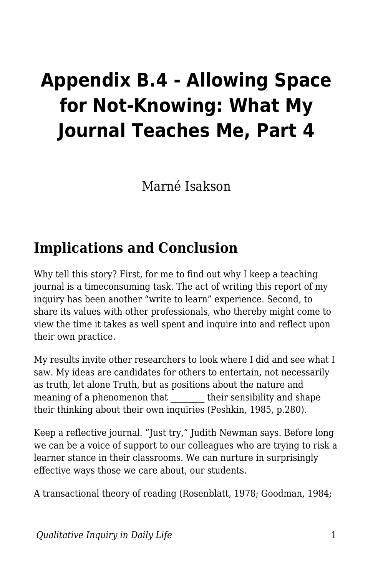## **Appendix B.4 - Allowing Space for Not-Knowing: What My Journal Teaches Me, Part 4**

Marné Isakson

## **Implications and Conclusion**

Why tell this story? First, for me to find out why I keep a teaching journal is a timeconsuming task. The act of writing this report of my inquiry has been another "write to learn" experience. Second, to share its values with other professionals, who thereby might come to view the time it takes as well spent and inquire into and reflect upon their own practice.

My results invite other researchers to look where I did and see what I saw. My ideas are candidates for others to entertain, not necessarily as truth, let alone Truth, but as positions about the nature and meaning of a phenomenon that their sensibility and shape their thinking about their own inquiries (Peshkin, 1985, p.280).

Keep a reflective journal. "Just try," Judith Newman says. Before long we can be a voice of support to our colleagues who are trying to risk a learner stance in their classrooms. We can nurture in surprisingly effective ways those we care about, our students.

A transactional theory of reading (Rosenblatt, 1978; Goodman, 1984;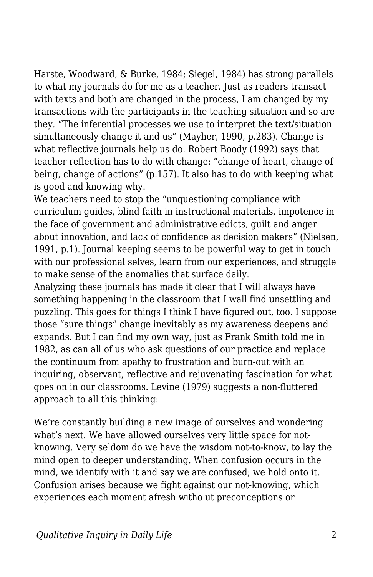Harste, Woodward, & Burke, 1984; Siegel, 1984) has strong parallels to what my journals do for me as a teacher. Just as readers transact with texts and both are changed in the process, I am changed by my transactions with the participants in the teaching situation and so are they. "The inferential processes we use to interpret the text/situation simultaneously change it and us" (Mayher, 1990, p.283). Change is what reflective journals help us do. Robert Boody (1992) says that teacher reflection has to do with change: "change of heart, change of being, change of actions" (p.157). It also has to do with keeping what is good and knowing why.

We teachers need to stop the "unquestioning compliance with curriculum guides, blind faith in instructional materials, impotence in the face of government and administrative edicts, guilt and anger about innovation, and lack of confidence as decision makers" (Nielsen, 1991, p.1). Journal keeping seems to be powerful way to get in touch with our professional selves, learn from our experiences, and struggle to make sense of the anomalies that surface daily.

Analyzing these journals has made it clear that I will always have something happening in the classroom that I wall find unsettling and puzzling. This goes for things I think I have figured out, too. I suppose those "sure things" change inevitably as my awareness deepens and expands. But I can find my own way, just as Frank Smith told me in 1982, as can all of us who ask questions of our practice and replace the continuum from apathy to frustration and burn-out with an inquiring, observant, reflective and rejuvenating fascination for what goes on in our classrooms. Levine (1979) suggests a non-fluttered approach to all this thinking:

We're constantly building a new image of ourselves and wondering what's next. We have allowed ourselves very little space for notknowing. Very seldom do we have the wisdom not-to-know, to lay the mind open to deeper understanding. When confusion occurs in the mind, we identify with it and say we are confused; we hold onto it. Confusion arises because we fight against our not-knowing, which experiences each moment afresh witho ut preconceptions or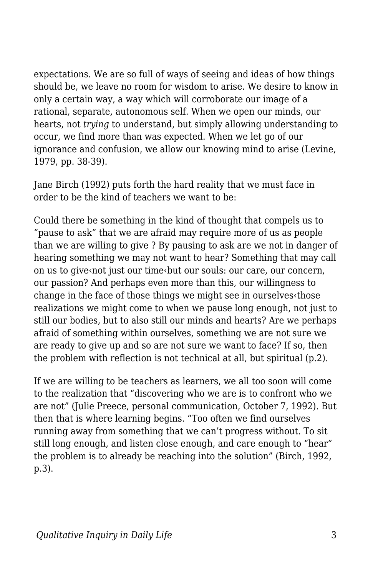expectations. We are so full of ways of seeing and ideas of how things should be, we leave no room for wisdom to arise. We desire to know in only a certain way, a way which will corroborate our image of a rational, separate, autonomous self. When we open our minds, our hearts, not *trying* to understand, but simply allowing understanding to occur, we find more than was expected. When we let go of our ignorance and confusion, we allow our knowing mind to arise (Levine, 1979, pp. 38-39).

Jane Birch (1992) puts forth the hard reality that we must face in order to be the kind of teachers we want to be:

Could there be something in the kind of thought that compels us to "pause to ask" that we are afraid may require more of us as people than we are willing to give ? By pausing to ask are we not in danger of hearing something we may not want to hear? Something that may call on us to give‹not just our time‹but our souls: our care, our concern, our passion? And perhaps even more than this, our willingness to change in the face of those things we might see in ourselves‹those realizations we might come to when we pause long enough, not just to still our bodies, but to also still our minds and hearts? Are we perhaps afraid of something within ourselves, something we are not sure we are ready to give up and so are not sure we want to face? If so, then the problem with reflection is not technical at all, but spiritual (p.2).

If we are willing to be teachers as learners, we all too soon will come to the realization that "discovering who we are is to confront who we are not" (Julie Preece, personal communication, October 7, 1992). But then that is where learning begins. "Too often we find ourselves running away from something that we can't progress without. To sit still long enough, and listen close enough, and care enough to "hear" the problem is to already be reaching into the solution" (Birch, 1992, p.3).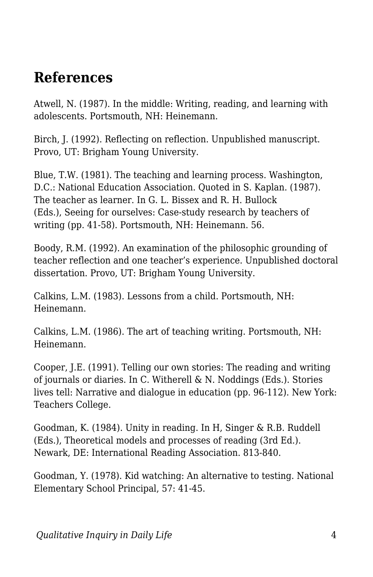## **References**

Atwell, N. (1987). In the middle: Writing, reading, and learning with adolescents. Portsmouth, NH: Heinemann.

Birch, J. (1992). Reflecting on reflection. Unpublished manuscript. Provo, UT: Brigham Young University.

Blue, T.W. (1981). The teaching and learning process. Washington, D.C.: National Education Association. Quoted in S. Kaplan. (1987). The teacher as learner. In G. L. Bissex and R. H. Bullock (Eds.), Seeing for ourselves: Case-study research by teachers of writing (pp. 41-58). Portsmouth, NH: Heinemann. 56.

Boody, R.M. (1992). An examination of the philosophic grounding of teacher reflection and one teacher's experience. Unpublished doctoral dissertation. Provo, UT: Brigham Young University.

Calkins, L.M. (1983). Lessons from a child. Portsmouth, NH: Heinemann.

Calkins, L.M. (1986). The art of teaching writing. Portsmouth, NH: Heinemann.

Cooper, J.E. (1991). Telling our own stories: The reading and writing of journals or diaries. In C. Witherell & N. Noddings (Eds.). Stories lives tell: Narrative and dialogue in education (pp. 96-112). New York: Teachers College.

Goodman, K. (1984). Unity in reading. In H, Singer & R.B. Ruddell (Eds.), Theoretical models and processes of reading (3rd Ed.). Newark, DE: International Reading Association. 813-840.

Goodman, Y. (1978). Kid watching: An alternative to testing. National Elementary School Principal, 57: 41-45.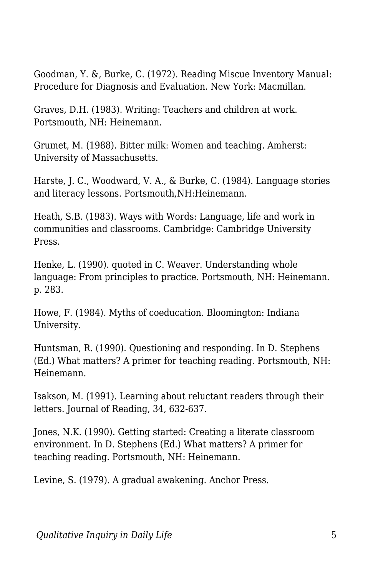Goodman, Y. &, Burke, C. (1972). Reading Miscue Inventory Manual: Procedure for Diagnosis and Evaluation. New York: Macmillan.

Graves, D.H. (1983). Writing: Teachers and children at work. Portsmouth, NH: Heinemann.

Grumet, M. (1988). Bitter milk: Women and teaching. Amherst: University of Massachusetts.

Harste, J. C., Woodward, V. A., & Burke, C. (1984). Language stories and literacy lessons. Portsmouth,NH:Heinemann.

Heath, S.B. (1983). Ways with Words: Language, life and work in communities and classrooms. Cambridge: Cambridge University Press.

Henke, L. (1990). quoted in C. Weaver. Understanding whole language: From principles to practice. Portsmouth, NH: Heinemann. p. 283.

Howe, F. (1984). Myths of coeducation. Bloomington: Indiana University.

Huntsman, R. (1990). Questioning and responding. In D. Stephens (Ed.) What matters? A primer for teaching reading. Portsmouth, NH: Heinemann.

Isakson, M. (1991). Learning about reluctant readers through their letters. Journal of Reading, 34, 632-637.

Jones, N.K. (1990). Getting started: Creating a literate classroom environment. In D. Stephens (Ed.) What matters? A primer for teaching reading. Portsmouth, NH: Heinemann.

Levine, S. (1979). A gradual awakening. Anchor Press.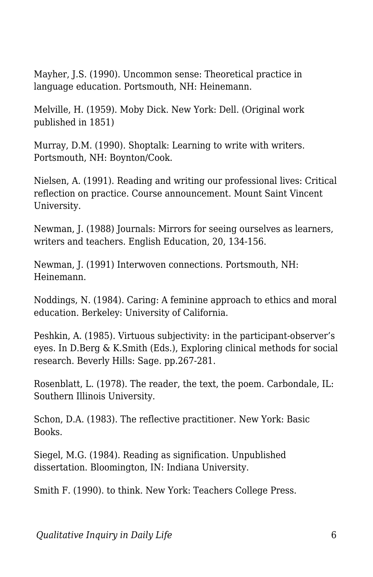Mayher, J.S. (1990). Uncommon sense: Theoretical practice in language education. Portsmouth, NH: Heinemann.

Melville, H. (1959). Moby Dick. New York: Dell. (Original work published in 1851)

Murray, D.M. (1990). Shoptalk: Learning to write with writers. Portsmouth, NH: Boynton/Cook.

Nielsen, A. (1991). Reading and writing our professional lives: Critical reflection on practice. Course announcement. Mount Saint Vincent University.

Newman, J. (1988) Journals: Mirrors for seeing ourselves as learners, writers and teachers. English Education, 20, 134-156.

Newman, J. (1991) Interwoven connections. Portsmouth, NH: Heinemann.

Noddings, N. (1984). Caring: A feminine approach to ethics and moral education. Berkeley: University of California.

Peshkin, A. (1985). Virtuous subjectivity: in the participant-observer's eyes. In D.Berg & K.Smith (Eds.), Exploring clinical methods for social research. Beverly Hills: Sage. pp.267-281.

Rosenblatt, L. (1978). The reader, the text, the poem. Carbondale, IL: Southern Illinois University.

Schon, D.A. (1983). The reflective practitioner. New York: Basic Books.

Siegel, M.G. (1984). Reading as signification. Unpublished dissertation. Bloomington, IN: Indiana University.

Smith F. (1990). to think. New York: Teachers College Press.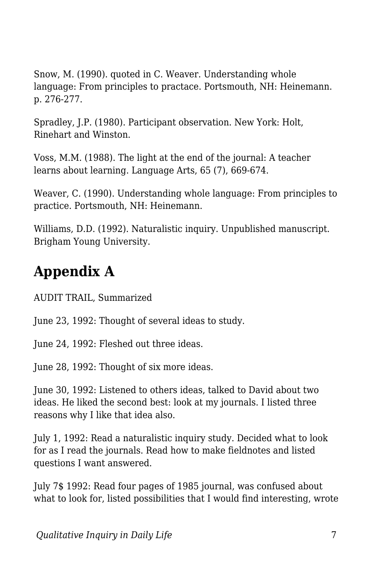Snow, M. (1990). quoted in C. Weaver. Understanding whole language: From principles to practace. Portsmouth, NH: Heinemann. p. 276-277.

Spradley, J.P. (1980). Participant observation. New York: Holt, Rinehart and Winston.

Voss, M.M. (1988). The light at the end of the journal: A teacher learns about learning. Language Arts, 65 (7), 669-674.

Weaver, C. (1990). Understanding whole language: From principles to practice. Portsmouth, NH: Heinemann.

Williams, D.D. (1992). Naturalistic inquiry. Unpublished manuscript. Brigham Young University.

## **Appendix A**

AUDIT TRAIL, Summarized

June 23, 1992: Thought of several ideas to study.

June 24, 1992: Fleshed out three ideas.

June 28, 1992: Thought of six more ideas.

June 30, 1992: Listened to others ideas, talked to David about two ideas. He liked the second best: look at my journals. I listed three reasons why I like that idea also.

July 1, 1992: Read a naturalistic inquiry study. Decided what to look for as I read the journals. Read how to make fieldnotes and listed questions I want answered.

July 7\$ 1992: Read four pages of 1985 journal, was confused about what to look for, listed possibilities that I would find interesting, wrote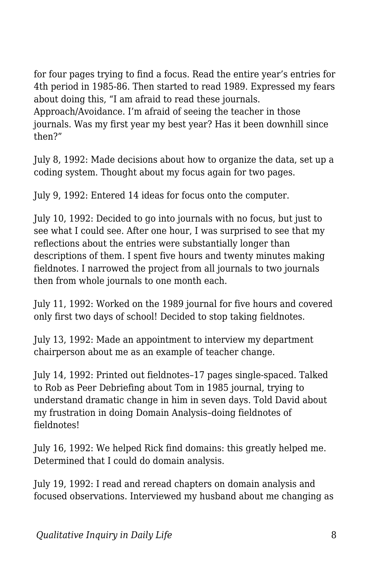for four pages trying to find a focus. Read the entire year's entries for 4th period in 1985-86. Then started to read 1989. Expressed my fears about doing this, "I am afraid to read these journals. Approach/Avoidance. I'm afraid of seeing the teacher in those journals. Was my first year my best year? Has it been downhill since then?"

July 8, 1992: Made decisions about how to organize the data, set up a coding system. Thought about my focus again for two pages.

July 9, 1992: Entered 14 ideas for focus onto the computer.

July 10, 1992: Decided to go into journals with no focus, but just to see what I could see. After one hour, I was surprised to see that my reflections about the entries were substantially longer than descriptions of them. I spent five hours and twenty minutes making fieldnotes. I narrowed the project from all journals to two journals then from whole journals to one month each.

July 11, 1992: Worked on the 1989 journal for five hours and covered only first two days of school! Decided to stop taking fieldnotes.

July 13, 1992: Made an appointment to interview my department chairperson about me as an example of teacher change.

July 14, 1992: Printed out fieldnotes–17 pages single-spaced. Talked to Rob as Peer Debriefing about Tom in 1985 journal, trying to understand dramatic change in him in seven days. Told David about my frustration in doing Domain Analysis–doing fieldnotes of fieldnotes!

July 16, 1992: We helped Rick find domains: this greatly helped me. Determined that I could do domain analysis.

July 19, 1992: I read and reread chapters on domain analysis and focused observations. Interviewed my husband about me changing as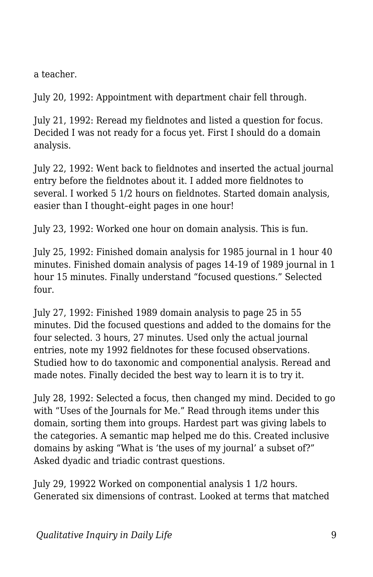a teacher.

July 20, 1992: Appointment with department chair fell through.

July 21, 1992: Reread my fieldnotes and listed a question for focus. Decided I was not ready for a focus yet. First I should do a domain analysis.

July 22, 1992: Went back to fieldnotes and inserted the actual journal entry before the fieldnotes about it. I added more fieldnotes to several. I worked 5 1/2 hours on fieldnotes. Started domain analysis, easier than I thought–eight pages in one hour!

July 23, 1992: Worked one hour on domain analysis. This is fun.

July 25, 1992: Finished domain analysis for 1985 journal in 1 hour 40 minutes. Finished domain analysis of pages 14-19 of 1989 journal in 1 hour 15 minutes. Finally understand "focused questions." Selected four.

July 27, 1992: Finished 1989 domain analysis to page 25 in 55 minutes. Did the focused questions and added to the domains for the four selected. 3 hours, 27 minutes. Used only the actual journal entries, note my 1992 fieldnotes for these focused observations. Studied how to do taxonomic and componential analysis. Reread and made notes. Finally decided the best way to learn it is to try it.

July 28, 1992: Selected a focus, then changed my mind. Decided to go with "Uses of the Journals for Me." Read through items under this domain, sorting them into groups. Hardest part was giving labels to the categories. A semantic map helped me do this. Created inclusive domains by asking "What is 'the uses of my journal' a subset of?" Asked dyadic and triadic contrast questions.

July 29, 19922 Worked on componential analysis 1 1/2 hours. Generated six dimensions of contrast. Looked at terms that matched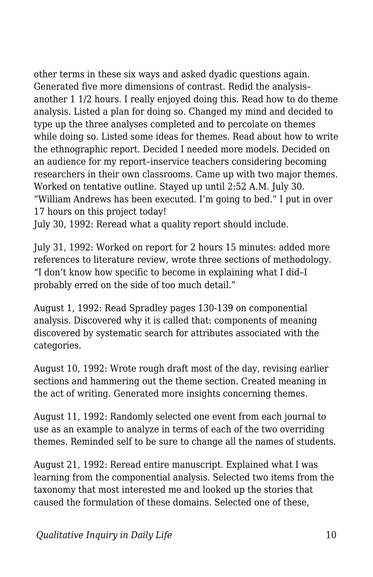other terms in these six ways and asked dyadic questions again. Generated five more dimensions of contrast. Redid the analysis– another 1 1/2 hours. I really enjoyed doing this. Read how to do theme analysis. Listed a plan for doing so. Changed my mind and decided to type up the three analyses completed and to percolate on themes while doing so. Listed some ideas for themes. Read about how to write the ethnographic report. Decided I needed more models. Decided on an audience for my report–inservice teachers considering becoming researchers in their own classrooms. Came up with two major themes. Worked on tentative outline. Stayed up until 2:52 A.M. July 30. "William Andrews has been executed. I'm going to bed." I put in over 17 hours on this project today!

July 30, 1992: Reread what a quality report should include.

July 31, 1992: Worked on report for 2 hours 15 minutes: added more references to literature review, wrote three sections of methodology. "I don't know how specific to become in explaining what I did–I probably erred on the side of too much detail."

August 1, 1992: Read Spradley pages 130-139 on componential analysis. Discovered why it is called that: components of meaning discovered by systematic search for attributes associated with the categories.

August 10, 1992: Wrote rough draft most of the day, revising earlier sections and hammering out the theme section. Created meaning in the act of writing. Generated more insights concerning themes.

August 11, 1992: Randomly selected one event from each journal to use as an example to analyze in terms of each of the two overriding themes. Reminded self to be sure to change all the names of students.

August 21, 1992: Reread entire manuscript. Explained what I was learning from the componential analysis. Selected two items from the taxonomy that most interested me and looked up the stories that caused the formulation of these domains. Selected one of these,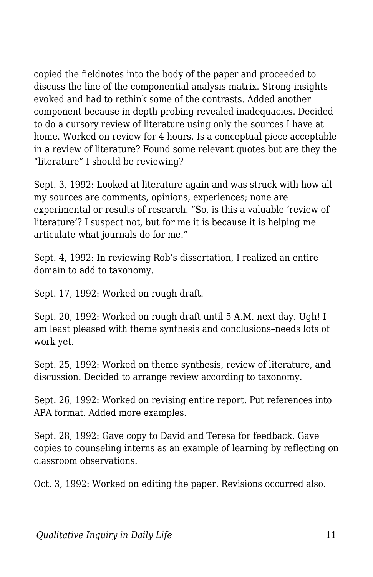copied the fieldnotes into the body of the paper and proceeded to discuss the line of the componential analysis matrix. Strong insights evoked and had to rethink some of the contrasts. Added another component because in depth probing revealed inadequacies. Decided to do a cursory review of literature using only the sources I have at home. Worked on review for 4 hours. Is a conceptual piece acceptable in a review of literature? Found some relevant quotes but are they the "literature" I should be reviewing?

Sept. 3, 1992: Looked at literature again and was struck with how all my sources are comments, opinions, experiences; none are experimental or results of research. "So, is this a valuable 'review of literature'? I suspect not, but for me it is because it is helping me articulate what journals do for me."

Sept. 4, 1992: In reviewing Rob's dissertation, I realized an entire domain to add to taxonomy.

Sept. 17, 1992: Worked on rough draft.

Sept. 20, 1992: Worked on rough draft until 5 A.M. next day. Ugh! I am least pleased with theme synthesis and conclusions–needs lots of work yet.

Sept. 25, 1992: Worked on theme synthesis, review of literature, and discussion. Decided to arrange review according to taxonomy.

Sept. 26, 1992: Worked on revising entire report. Put references into APA format. Added more examples.

Sept. 28, 1992: Gave copy to David and Teresa for feedback. Gave copies to counseling interns as an example of learning by reflecting on classroom observations.

Oct. 3, 1992: Worked on editing the paper. Revisions occurred also.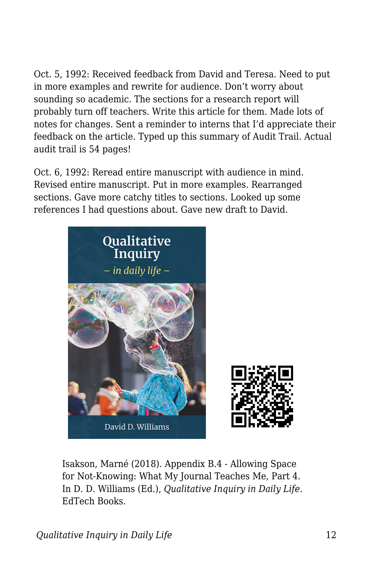Oct. 5, 1992: Received feedback from David and Teresa. Need to put in more examples and rewrite for audience. Don't worry about sounding so academic. The sections for a research report will probably turn off teachers. Write this article for them. Made lots of notes for changes. Sent a reminder to interns that I'd appreciate their feedback on the article. Typed up this summary of Audit Trail. Actual audit trail is 54 pages!

Oct. 6, 1992: Reread entire manuscript with audience in mind. Revised entire manuscript. Put in more examples. Rearranged sections. Gave more catchy titles to sections. Looked up some references I had questions about. Gave new draft to David.



Isakson, Marné (2018). Appendix B.4 - Allowing Space for Not-Knowing: What My Journal Teaches Me, Part 4. In D. D. Williams (Ed.), *Qualitative Inquiry in Daily Life*. EdTech Books.